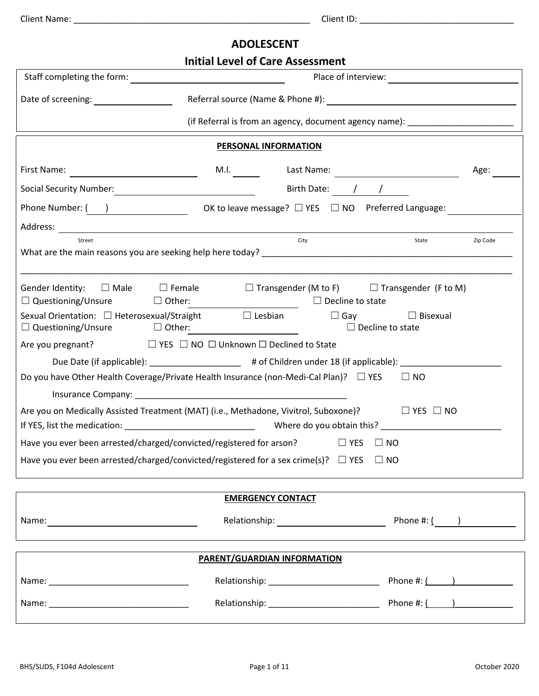## **ADOLESCENT**

|                                                                                                                                                                                                                                        | <b>Initial Level of Care Assessment</b>                                                                                                                                                                                                                         |                     |
|----------------------------------------------------------------------------------------------------------------------------------------------------------------------------------------------------------------------------------------|-----------------------------------------------------------------------------------------------------------------------------------------------------------------------------------------------------------------------------------------------------------------|---------------------|
|                                                                                                                                                                                                                                        |                                                                                                                                                                                                                                                                 | Place of interview: |
|                                                                                                                                                                                                                                        |                                                                                                                                                                                                                                                                 |                     |
|                                                                                                                                                                                                                                        | (if Referral is from an agency, document agency name): _________________________                                                                                                                                                                                |                     |
|                                                                                                                                                                                                                                        | <b>PERSONAL INFORMATION</b>                                                                                                                                                                                                                                     |                     |
|                                                                                                                                                                                                                                        |                                                                                                                                                                                                                                                                 | Age:                |
| Social Security Number:<br><u> Contains and the contract of the contract of the contract of the contract of the contract of the contract of the contract of the contract of the contract of the contract of the contract of the co</u> | Birth Date: 1 / /                                                                                                                                                                                                                                               |                     |
|                                                                                                                                                                                                                                        | Phone Number: $\begin{pmatrix} 1 & 1 \\ 1 & 1 \end{pmatrix}$ OK to leave message? $\Box$ YES $\Box$ NO Preferred Language:                                                                                                                                      |                     |
|                                                                                                                                                                                                                                        |                                                                                                                                                                                                                                                                 |                     |
| Street                                                                                                                                                                                                                                 | City                                                                                                                                                                                                                                                            | State<br>Zip Code   |
|                                                                                                                                                                                                                                        |                                                                                                                                                                                                                                                                 |                     |
|                                                                                                                                                                                                                                        | Gender Identity: $\Box$ Male $\Box$ Female $\Box$ Transgender (M to F) $\Box$ Transgender (F to M)<br>$\Box$ Questioning/Unsure $\Box$ Other: $\Box$ Decline to state<br>Sexual Orientation: □ Heterosexual/Straight     □ Lesbian       □ Gay       □ Bisexual |                     |
| $\Box$ Questioning/Unsure $\Box$ Other:                                                                                                                                                                                                | $\Box$ Decline to state                                                                                                                                                                                                                                         |                     |
|                                                                                                                                                                                                                                        |                                                                                                                                                                                                                                                                 |                     |
|                                                                                                                                                                                                                                        | Due Date (if applicable): _____________________ # of Children under 18 (if applicable): _____________________                                                                                                                                                   |                     |
|                                                                                                                                                                                                                                        | Do you have Other Health Coverage/Private Health Insurance (non-Medi-Cal Plan)? □ YES □ NO                                                                                                                                                                      |                     |
|                                                                                                                                                                                                                                        | Insurance Company: North Company: North Company: North Company: North Company: North Company: North Company: North Company: North Company: North Company: North Company: North Company: North Company: North Company: North Co                                  |                     |
|                                                                                                                                                                                                                                        | Are you on Medically Assisted Treatment (MAT) (i.e., Methadone, Vivitrol, Suboxone)? $\square \top$ YES $\square$ NO                                                                                                                                            |                     |
|                                                                                                                                                                                                                                        | Have you ever been arrested/charged/convicted/registered for arson? □ YES □ NO                                                                                                                                                                                  |                     |
|                                                                                                                                                                                                                                        | Have you ever been arrested/charged/convicted/registered for a sex crime(s)? $\Box$ YES $\Box$ NO                                                                                                                                                               |                     |
|                                                                                                                                                                                                                                        |                                                                                                                                                                                                                                                                 |                     |
|                                                                                                                                                                                                                                        | <b>EMERGENCY CONTACT</b>                                                                                                                                                                                                                                        |                     |
|                                                                                                                                                                                                                                        |                                                                                                                                                                                                                                                                 |                     |
|                                                                                                                                                                                                                                        |                                                                                                                                                                                                                                                                 |                     |
|                                                                                                                                                                                                                                        | PARENT/GUARDIAN INFORMATION                                                                                                                                                                                                                                     |                     |
|                                                                                                                                                                                                                                        |                                                                                                                                                                                                                                                                 | Phone #: $($ $)$    |
|                                                                                                                                                                                                                                        |                                                                                                                                                                                                                                                                 |                     |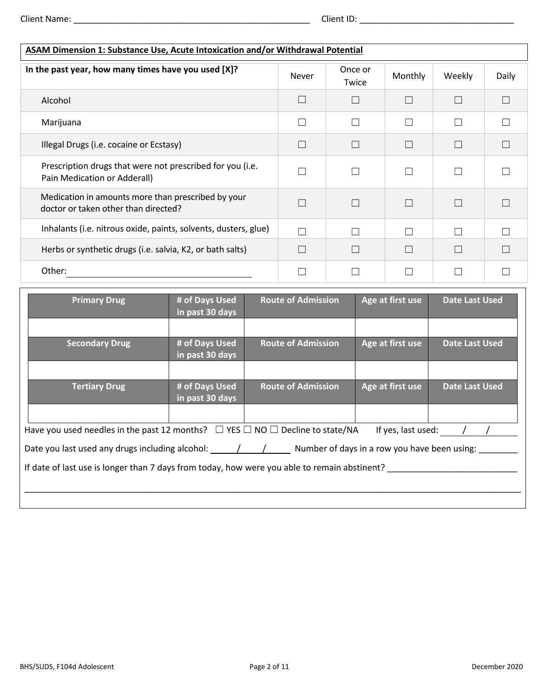| <b>ASAM Dimension 1: Substance Use, Acute Intoxication and/or Withdrawal Potential</b>     |              |                  |              |        |       |
|--------------------------------------------------------------------------------------------|--------------|------------------|--------------|--------|-------|
| In the past year, how many times have you used [X]?                                        | <b>Never</b> | Once or<br>Twice | Monthly      | Weekly | Daily |
| Alcohol                                                                                    | П            |                  |              | П      |       |
| Marijuana                                                                                  | $\Box$       |                  | $\mathbf{L}$ | П      |       |
| Illegal Drugs (i.e. cocaine or Ecstasy)                                                    | $\Box$       |                  | $\Box$       | П      |       |
| Prescription drugs that were not prescribed for you (i.e.<br>Pain Medication or Adderall)  |              |                  | $\Box$       | П      |       |
| Medication in amounts more than prescribed by your<br>doctor or taken other than directed? | П            |                  |              | П      |       |
| Inhalants (i.e. nitrous oxide, paints, solvents, dusters, glue)                            | П            |                  | П            | П      |       |
| Herbs or synthetic drugs (i.e. salvia, K2, or bath salts)                                  | $\Box$       |                  |              | $\Box$ |       |
| Other:                                                                                     |              |                  |              |        |       |

| <b>Primary Drug</b>                                                                                                        | # of Days Used<br>in past 30 days | <b>Route of Admission</b> | Age at first use   | <b>Date Last Used</b> |
|----------------------------------------------------------------------------------------------------------------------------|-----------------------------------|---------------------------|--------------------|-----------------------|
|                                                                                                                            |                                   |                           |                    |                       |
| <b>Secondary Drug</b>                                                                                                      | # of Days Used<br>in past 30 days | <b>Route of Admission</b> | Age at first use   | <b>Date Last Used</b> |
|                                                                                                                            |                                   |                           |                    |                       |
| <b>Tertiary Drug</b>                                                                                                       | # of Days Used<br>in past 30 days | <b>Route of Admission</b> | Age at first use   | <b>Date Last Used</b> |
|                                                                                                                            |                                   |                           |                    |                       |
| Have you used needles in the past 12 months? $\Box$ YES $\Box$ NO $\Box$ Decline to state/NA                               |                                   |                           | If yes, last used: |                       |
| Date you last used any drugs including alcohol: $\frac{1}{2}$ / $\frac{1}{2}$ Number of days in a row you have been using: |                                   |                           |                    |                       |
| If date of last use is longer than 7 days from today, how were you able to remain abstinent?                               |                                   |                           |                    |                       |
|                                                                                                                            |                                   |                           |                    |                       |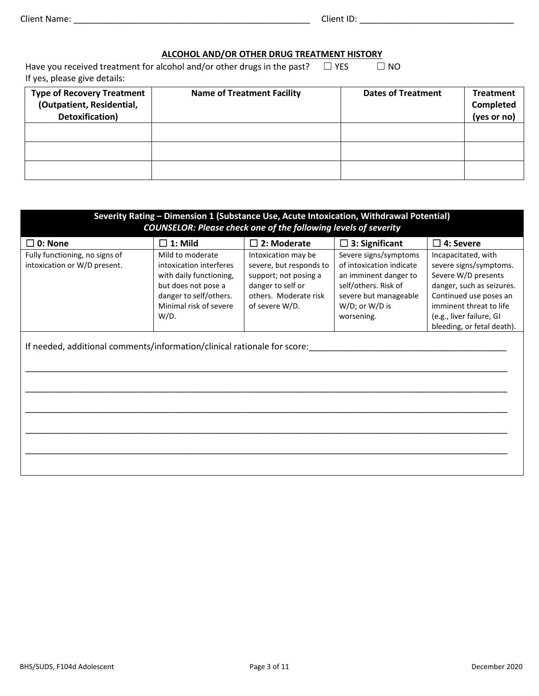## **ALCOHOL AND/OR OTHER DRUG TREATMENT HISTORY**

Have you received treatment for alcohol and/or other drugs in the past?  $\Box$  YES  $\Box$  NO If yes, please give details:

| <b>Type of Recovery Treatment</b><br>(Outpatient, Residential,<br>Detoxification) | <b>Name of Treatment Facility</b> | <b>Dates of Treatment</b> | <b>Treatment</b><br>Completed<br>(yes or no) |
|-----------------------------------------------------------------------------------|-----------------------------------|---------------------------|----------------------------------------------|
|                                                                                   |                                   |                           |                                              |
|                                                                                   |                                   |                           |                                              |
|                                                                                   |                                   |                           |                                              |

| Severity Rating - Dimension 1 (Substance Use, Acute Intoxication, Withdrawal Potential)<br><b>COUNSELOR: Please check one of the following levels of severity</b> |                                                                                                                                                           |                                                                                                                                         |                                                                                                                                                             |                                                                                                                                                                                                                  |
|-------------------------------------------------------------------------------------------------------------------------------------------------------------------|-----------------------------------------------------------------------------------------------------------------------------------------------------------|-----------------------------------------------------------------------------------------------------------------------------------------|-------------------------------------------------------------------------------------------------------------------------------------------------------------|------------------------------------------------------------------------------------------------------------------------------------------------------------------------------------------------------------------|
| 0: None                                                                                                                                                           | $\Box$ 1: Mild                                                                                                                                            | $\square$ 2: Moderate                                                                                                                   | $\square$ 3: Significant                                                                                                                                    | $\square$ 4: Severe                                                                                                                                                                                              |
| Fully functioning, no signs of<br>intoxication or W/D present.                                                                                                    | Mild to moderate<br>intoxication interferes<br>with daily functioning,<br>but does not pose a<br>danger to self/others.<br>Minimal risk of severe<br>W/D. | Intoxication may be<br>severe, but responds to<br>support; not posing a<br>danger to self or<br>others. Moderate risk<br>of severe W/D. | Severe signs/symptoms<br>of intoxication indicate<br>an imminent danger to<br>self/others. Risk of<br>severe but manageable<br>W/D; or W/D is<br>worsening. | Incapacitated, with<br>severe signs/symptoms.<br>Severe W/D presents<br>danger, such as seizures.<br>Continued use poses an<br>imminent threat to life<br>(e.g., liver failure, GI<br>bleeding, or fetal death). |
| If needed, additional comments/information/clinical rationale for score:                                                                                          |                                                                                                                                                           |                                                                                                                                         |                                                                                                                                                             |                                                                                                                                                                                                                  |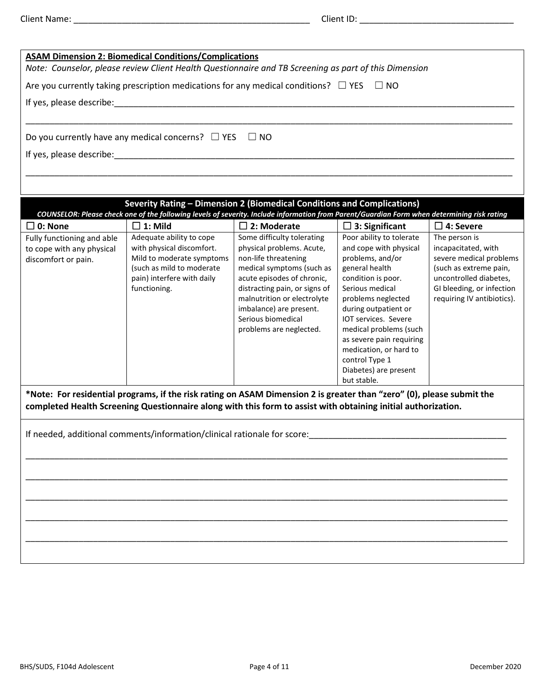|                                                                                | <b>ASAM Dimension 2: Biomedical Conditions/Complications</b>                                                                                                                                                                           |                                                                                                                                                                                                                                                                                        |                                                                                                                                                                                                                                                                                                                                                   |                                                                                                                                                                                |
|--------------------------------------------------------------------------------|----------------------------------------------------------------------------------------------------------------------------------------------------------------------------------------------------------------------------------------|----------------------------------------------------------------------------------------------------------------------------------------------------------------------------------------------------------------------------------------------------------------------------------------|---------------------------------------------------------------------------------------------------------------------------------------------------------------------------------------------------------------------------------------------------------------------------------------------------------------------------------------------------|--------------------------------------------------------------------------------------------------------------------------------------------------------------------------------|
|                                                                                | Note: Counselor, please review Client Health Questionnaire and TB Screening as part of this Dimension                                                                                                                                  |                                                                                                                                                                                                                                                                                        |                                                                                                                                                                                                                                                                                                                                                   |                                                                                                                                                                                |
|                                                                                | Are you currently taking prescription medications for any medical conditions? $\Box$ YES                                                                                                                                               |                                                                                                                                                                                                                                                                                        | $\Box$ NO                                                                                                                                                                                                                                                                                                                                         |                                                                                                                                                                                |
| If yes, please describe:                                                       |                                                                                                                                                                                                                                        |                                                                                                                                                                                                                                                                                        |                                                                                                                                                                                                                                                                                                                                                   |                                                                                                                                                                                |
|                                                                                |                                                                                                                                                                                                                                        |                                                                                                                                                                                                                                                                                        |                                                                                                                                                                                                                                                                                                                                                   |                                                                                                                                                                                |
|                                                                                | Do you currently have any medical concerns? $\Box$ YES $\Box$ NO                                                                                                                                                                       |                                                                                                                                                                                                                                                                                        |                                                                                                                                                                                                                                                                                                                                                   |                                                                                                                                                                                |
|                                                                                | If yes, please describe: and the state of the state of the state of the state of the state of the state of the                                                                                                                         |                                                                                                                                                                                                                                                                                        |                                                                                                                                                                                                                                                                                                                                                   |                                                                                                                                                                                |
|                                                                                |                                                                                                                                                                                                                                        |                                                                                                                                                                                                                                                                                        |                                                                                                                                                                                                                                                                                                                                                   |                                                                                                                                                                                |
|                                                                                | Severity Rating - Dimension 2 (Biomedical Conditions and Complications)                                                                                                                                                                |                                                                                                                                                                                                                                                                                        |                                                                                                                                                                                                                                                                                                                                                   |                                                                                                                                                                                |
|                                                                                | COUNSELOR: Please check one of the following levels of severity. Include information from Parent/Guardian Form when determining risk rating                                                                                            |                                                                                                                                                                                                                                                                                        |                                                                                                                                                                                                                                                                                                                                                   |                                                                                                                                                                                |
| $\Box$ 0: None                                                                 | $\Box$ 1: Mild                                                                                                                                                                                                                         | $\Box$ 2: Moderate                                                                                                                                                                                                                                                                     | $\square$ 3: Significant                                                                                                                                                                                                                                                                                                                          | $\Box$ 4: Severe                                                                                                                                                               |
| Fully functioning and able<br>to cope with any physical<br>discomfort or pain. | Adequate ability to cope<br>with physical discomfort.<br>Mild to moderate symptoms<br>(such as mild to moderate<br>pain) interfere with daily<br>functioning.                                                                          | Some difficulty tolerating<br>physical problems. Acute,<br>non-life threatening<br>medical symptoms (such as<br>acute episodes of chronic,<br>distracting pain, or signs of<br>malnutrition or electrolyte<br>imbalance) are present.<br>Serious biomedical<br>problems are neglected. | Poor ability to tolerate<br>and cope with physical<br>problems, and/or<br>general health<br>condition is poor.<br>Serious medical<br>problems neglected<br>during outpatient or<br>IOT services. Severe<br>medical problems (such<br>as severe pain requiring<br>medication, or hard to<br>control Type 1<br>Diabetes) are present<br>but stable. | The person is<br>incapacitated, with<br>severe medical problems<br>(such as extreme pain,<br>uncontrolled diabetes,<br>GI bleeding, or infection<br>requiring IV antibiotics). |
|                                                                                | *Note: For residential programs, if the risk rating on ASAM Dimension 2 is greater than "zero" (0), please submit the<br>completed Health Screening Questionnaire along with this form to assist with obtaining initial authorization. |                                                                                                                                                                                                                                                                                        |                                                                                                                                                                                                                                                                                                                                                   |                                                                                                                                                                                |
|                                                                                | If needed, additional comments/information/clinical rationale for score:                                                                                                                                                               |                                                                                                                                                                                                                                                                                        |                                                                                                                                                                                                                                                                                                                                                   |                                                                                                                                                                                |
|                                                                                |                                                                                                                                                                                                                                        |                                                                                                                                                                                                                                                                                        |                                                                                                                                                                                                                                                                                                                                                   |                                                                                                                                                                                |
|                                                                                |                                                                                                                                                                                                                                        |                                                                                                                                                                                                                                                                                        |                                                                                                                                                                                                                                                                                                                                                   |                                                                                                                                                                                |
|                                                                                |                                                                                                                                                                                                                                        |                                                                                                                                                                                                                                                                                        |                                                                                                                                                                                                                                                                                                                                                   |                                                                                                                                                                                |
|                                                                                |                                                                                                                                                                                                                                        |                                                                                                                                                                                                                                                                                        |                                                                                                                                                                                                                                                                                                                                                   |                                                                                                                                                                                |
|                                                                                |                                                                                                                                                                                                                                        |                                                                                                                                                                                                                                                                                        |                                                                                                                                                                                                                                                                                                                                                   |                                                                                                                                                                                |
|                                                                                |                                                                                                                                                                                                                                        |                                                                                                                                                                                                                                                                                        |                                                                                                                                                                                                                                                                                                                                                   |                                                                                                                                                                                |
|                                                                                |                                                                                                                                                                                                                                        |                                                                                                                                                                                                                                                                                        |                                                                                                                                                                                                                                                                                                                                                   |                                                                                                                                                                                |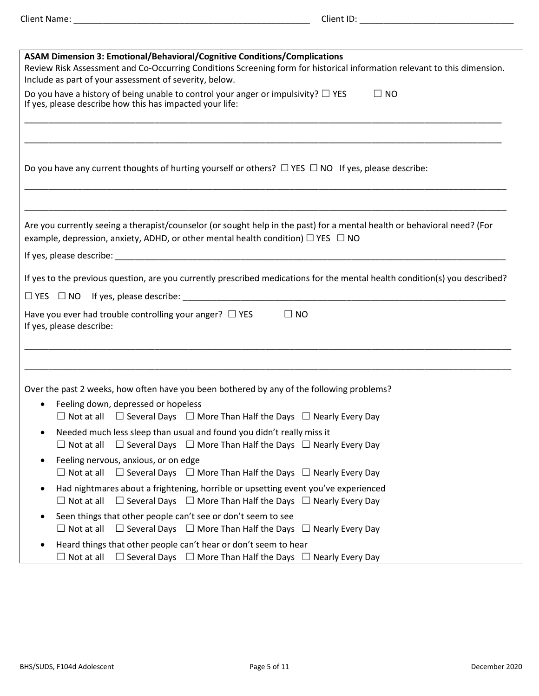| <b>ASAM Dimension 3: Emotional/Behavioral/Cognitive Conditions/Complications</b>                                                                                                                                       |
|------------------------------------------------------------------------------------------------------------------------------------------------------------------------------------------------------------------------|
| Review Risk Assessment and Co-Occurring Conditions Screening form for historical information relevant to this dimension.                                                                                               |
| Include as part of your assessment of severity, below.                                                                                                                                                                 |
| Do you have a history of being unable to control your anger or impulsivity? $\Box$ YES<br>$\Box$ NO<br>If yes, please describe how this has impacted your life:                                                        |
| Do you have any current thoughts of hurting yourself or others? $\Box$ YES $\Box$ NO If yes, please describe:                                                                                                          |
| Are you currently seeing a therapist/counselor (or sought help in the past) for a mental health or behavioral need? (For<br>example, depression, anxiety, ADHD, or other mental health condition) $\Box$ YES $\Box$ NO |
|                                                                                                                                                                                                                        |
| If yes to the previous question, are you currently prescribed medications for the mental health condition(s) you described?                                                                                            |
|                                                                                                                                                                                                                        |
| Have you ever had trouble controlling your anger? $\Box$ YES<br>$\square$ NO<br>If yes, please describe:                                                                                                               |
| Over the past 2 weeks, how often have you been bothered by any of the following problems?                                                                                                                              |
| Feeling down, depressed or hopeless<br>$\bullet$<br>$\Box$ Not at all $\Box$ Several Days $\Box$ More Than Half the Days $\Box$ Nearly Every Day                                                                       |
| Needed much less sleep than usual and found you didn't really miss it<br>$\Box$ Not at all $\Box$ Several Days $\Box$ More Than Half the Days $\Box$ Nearly Every Day                                                  |
| Feeling nervous, anxious, or on edge<br>$\Box$ Not at all $\Box$ Several Days $\Box$ More Than Half the Days $\Box$ Nearly Every Day                                                                                   |
| Had nightmares about a frightening, horrible or upsetting event you've experienced<br>$\bullet$<br>$\Box$ Several Days $\Box$ More Than Half the Days $\Box$ Nearly Every Day<br>$\Box$ Not at all                     |
| Seen things that other people can't see or don't seem to see<br>$\Box$ Not at all<br>$\Box$ Several Days $\Box$ More Than Half the Days $\Box$ Nearly Every Day                                                        |
| Heard things that other people can't hear or don't seem to hear<br>$\Box$ Several Days $\Box$ More Than Half the Days $\Box$ Nearly Every Day<br>$\Box$ Not at all                                                     |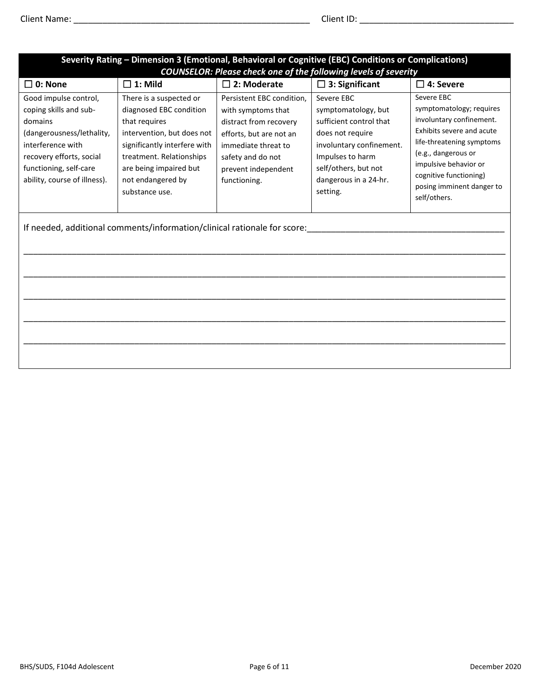| Severity Rating - Dimension 3 (Emotional, Behavioral or Cognitive (EBC) Conditions or Complications)<br><b>COUNSELOR: Please check one of the following levels of severity</b>                     |                                                                                                                                                                                                                                |                                                                                                                                                                                         |                                                                                                                                                                                               |                                                                                                                                                                                                                                                     |
|----------------------------------------------------------------------------------------------------------------------------------------------------------------------------------------------------|--------------------------------------------------------------------------------------------------------------------------------------------------------------------------------------------------------------------------------|-----------------------------------------------------------------------------------------------------------------------------------------------------------------------------------------|-----------------------------------------------------------------------------------------------------------------------------------------------------------------------------------------------|-----------------------------------------------------------------------------------------------------------------------------------------------------------------------------------------------------------------------------------------------------|
| $\square$ 0: None                                                                                                                                                                                  | $\square$ 1: Mild                                                                                                                                                                                                              | $\square$ 2: Moderate                                                                                                                                                                   | $\square$ 3: Significant                                                                                                                                                                      | $\square$ 4: Severe                                                                                                                                                                                                                                 |
| Good impulse control,<br>coping skills and sub-<br>domains<br>(dangerousness/lethality,<br>interference with<br>recovery efforts, social<br>functioning, self-care<br>ability, course of illness). | There is a suspected or<br>diagnosed EBC condition<br>that requires<br>intervention, but does not<br>significantly interfere with<br>treatment. Relationships<br>are being impaired but<br>not endangered by<br>substance use. | Persistent EBC condition,<br>with symptoms that<br>distract from recovery<br>efforts, but are not an<br>immediate threat to<br>safety and do not<br>prevent independent<br>functioning. | Severe EBC<br>symptomatology, but<br>sufficient control that<br>does not require<br>involuntary confinement.<br>Impulses to harm<br>self/others, but not<br>dangerous in a 24-hr.<br>setting. | Severe EBC<br>symptomatology; requires<br>involuntary confinement.<br>Exhibits severe and acute<br>life-threatening symptoms<br>(e.g., dangerous or<br>impulsive behavior or<br>cognitive functioning)<br>posing imminent danger to<br>self/others. |
|                                                                                                                                                                                                    | If needed, additional comments/information/clinical rationale for score:                                                                                                                                                       |                                                                                                                                                                                         |                                                                                                                                                                                               |                                                                                                                                                                                                                                                     |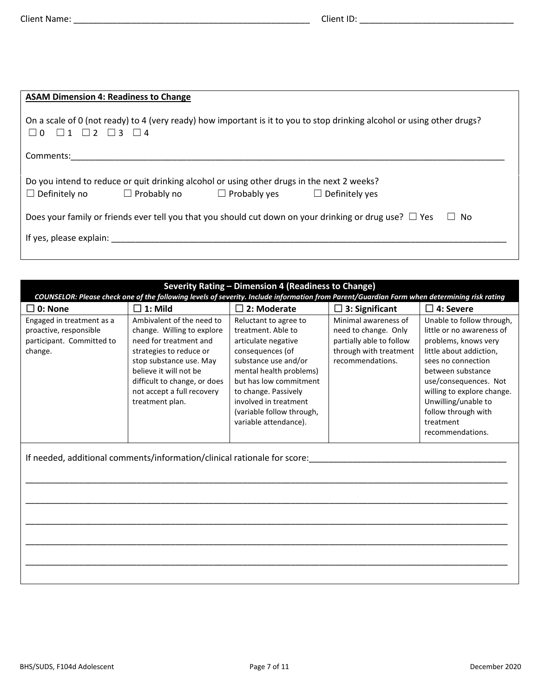| <b>ASAM Dimension 4: Readiness to Change</b>                                                                                                                                       |  |  |  |  |
|------------------------------------------------------------------------------------------------------------------------------------------------------------------------------------|--|--|--|--|
| On a scale of 0 (not ready) to 4 (very ready) how important is it to you to stop drinking alcohol or using other drugs?<br>$\Box$ 0 $\Box$ 1 $\Box$ 2 $\Box$ 3 $\Box$ 4            |  |  |  |  |
| Comments:                                                                                                                                                                          |  |  |  |  |
| Do you intend to reduce or quit drinking alcohol or using other drugs in the next 2 weeks?<br>$\Box$ Definitely no $\Box$ Probably no $\Box$ Probably yes<br>$\Box$ Definitely yes |  |  |  |  |
| Does your family or friends ever tell you that you should cut down on your drinking or drug use? $\Box$ Yes<br>$\Box$ No                                                           |  |  |  |  |
| If yes, please explain:                                                                                                                                                            |  |  |  |  |
|                                                                                                                                                                                    |  |  |  |  |

| Severity Rating - Dimension 4 (Readiness to Change)                                                                                         |                                                                                                                                                                                                                                                    |                                                                                                                                                                                                                                                                            |                                                                                                                        |                                                                                                                                                                                                                                                                                            |  |
|---------------------------------------------------------------------------------------------------------------------------------------------|----------------------------------------------------------------------------------------------------------------------------------------------------------------------------------------------------------------------------------------------------|----------------------------------------------------------------------------------------------------------------------------------------------------------------------------------------------------------------------------------------------------------------------------|------------------------------------------------------------------------------------------------------------------------|--------------------------------------------------------------------------------------------------------------------------------------------------------------------------------------------------------------------------------------------------------------------------------------------|--|
| COUNSELOR: Please check one of the following levels of severity. Include information from Parent/Guardian Form when determining risk rating |                                                                                                                                                                                                                                                    |                                                                                                                                                                                                                                                                            |                                                                                                                        |                                                                                                                                                                                                                                                                                            |  |
| $\square$ 0: None                                                                                                                           | $\square$ 1: Mild                                                                                                                                                                                                                                  | $\Box$ 2: Moderate                                                                                                                                                                                                                                                         | $\Box$ 3: Significant                                                                                                  | $\Box$ 4: Severe                                                                                                                                                                                                                                                                           |  |
| Engaged in treatment as a<br>proactive, responsible<br>participant. Committed to<br>change.                                                 | Ambivalent of the need to<br>change. Willing to explore<br>need for treatment and<br>strategies to reduce or<br>stop substance use. May<br>believe it will not be<br>difficult to change, or does<br>not accept a full recovery<br>treatment plan. | Reluctant to agree to<br>treatment. Able to<br>articulate negative<br>consequences (of<br>substance use and/or<br>mental health problems)<br>but has low commitment<br>to change. Passively<br>involved in treatment<br>(variable follow through,<br>variable attendance). | Minimal awareness of<br>need to change. Only<br>partially able to follow<br>through with treatment<br>recommendations. | Unable to follow through,<br>little or no awareness of<br>problems, knows very<br>little about addiction,<br>sees no connection<br>between substance<br>use/consequences. Not<br>willing to explore change.<br>Unwilling/unable to<br>follow through with<br>treatment<br>recommendations. |  |
| If needed, additional comments/information/clinical rationale for score:                                                                    |                                                                                                                                                                                                                                                    |                                                                                                                                                                                                                                                                            |                                                                                                                        |                                                                                                                                                                                                                                                                                            |  |
|                                                                                                                                             |                                                                                                                                                                                                                                                    |                                                                                                                                                                                                                                                                            |                                                                                                                        |                                                                                                                                                                                                                                                                                            |  |

\_\_\_\_\_\_\_\_\_\_\_\_\_\_\_\_\_\_\_\_\_\_\_\_\_\_\_\_\_\_\_\_\_\_\_\_\_\_\_\_\_\_\_\_\_\_\_\_\_\_\_\_\_\_\_\_\_\_\_\_\_\_\_\_\_\_\_\_\_\_\_\_\_\_\_\_\_\_\_\_\_\_\_\_\_\_\_\_\_\_\_\_\_\_\_\_\_\_\_\_

\_\_\_\_\_\_\_\_\_\_\_\_\_\_\_\_\_\_\_\_\_\_\_\_\_\_\_\_\_\_\_\_\_\_\_\_\_\_\_\_\_\_\_\_\_\_\_\_\_\_\_\_\_\_\_\_\_\_\_\_\_\_\_\_\_\_\_\_\_\_\_\_\_\_\_\_\_\_\_\_\_\_\_\_\_\_\_\_\_\_\_\_\_\_\_\_\_\_\_\_

\_\_\_\_\_\_\_\_\_\_\_\_\_\_\_\_\_\_\_\_\_\_\_\_\_\_\_\_\_\_\_\_\_\_\_\_\_\_\_\_\_\_\_\_\_\_\_\_\_\_\_\_\_\_\_\_\_\_\_\_\_\_\_\_\_\_\_\_\_\_\_\_\_\_\_\_\_\_\_\_\_\_\_\_\_\_\_\_\_\_\_\_\_\_\_\_\_\_\_\_

\_\_\_\_\_\_\_\_\_\_\_\_\_\_\_\_\_\_\_\_\_\_\_\_\_\_\_\_\_\_\_\_\_\_\_\_\_\_\_\_\_\_\_\_\_\_\_\_\_\_\_\_\_\_\_\_\_\_\_\_\_\_\_\_\_\_\_\_\_\_\_\_\_\_\_\_\_\_\_\_\_\_\_\_\_\_\_\_\_\_\_\_\_\_\_\_\_\_\_\_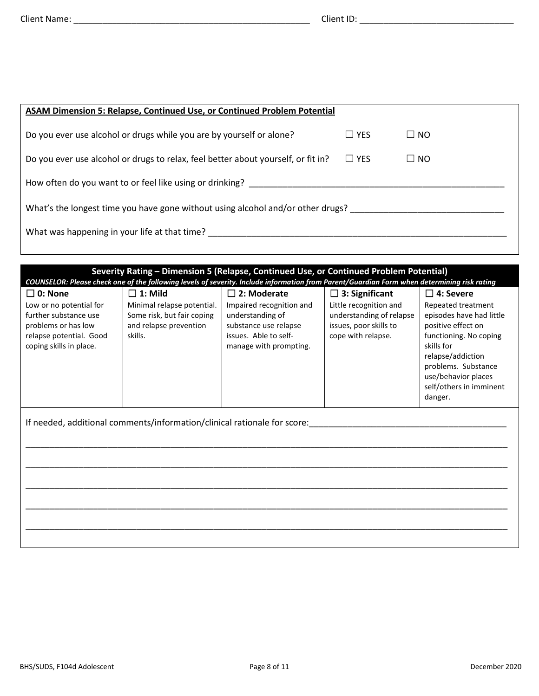| <b>ASAM Dimension 5: Relapse, Continued Use, or Continued Problem Potential</b>   |            |              |
|-----------------------------------------------------------------------------------|------------|--------------|
| Do you ever use alcohol or drugs while you are by yourself or alone?              | $\Box$ YES | $\Box$ No    |
| Do you ever use alcohol or drugs to relax, feel better about yourself, or fit in? | $\Box$ YES | $\square$ NO |
| How often do you want to or feel like using or drinking?                          |            |              |
| What's the longest time you have gone without using alcohol and/or other drugs?   |            |              |
| What was happening in your life at that time?                                     |            |              |
|                                                                                   |            |              |

| Severity Rating - Dimension 5 (Relapse, Continued Use, or Continued Problem Potential)                                                      |                                                                                               |                                                                                                                          |                                                                                                    |                                                                                                                                                                                                                       |  |
|---------------------------------------------------------------------------------------------------------------------------------------------|-----------------------------------------------------------------------------------------------|--------------------------------------------------------------------------------------------------------------------------|----------------------------------------------------------------------------------------------------|-----------------------------------------------------------------------------------------------------------------------------------------------------------------------------------------------------------------------|--|
| COUNSELOR: Please check one of the following levels of severity. Include information from Parent/Guardian Form when determining risk rating |                                                                                               |                                                                                                                          |                                                                                                    |                                                                                                                                                                                                                       |  |
| $\square$ 0: None                                                                                                                           | $\square$ 1: Mild                                                                             | $\square$ 2: Moderate                                                                                                    | $\Box$ 3: Significant                                                                              | $\square$ 4: Severe                                                                                                                                                                                                   |  |
| Low or no potential for<br>further substance use<br>problems or has low<br>relapse potential. Good<br>coping skills in place.               | Minimal relapse potential.<br>Some risk, but fair coping<br>and relapse prevention<br>skills. | Impaired recognition and<br>understanding of<br>substance use relapse<br>issues. Able to self-<br>manage with prompting. | Little recognition and<br>understanding of relapse<br>issues, poor skills to<br>cope with relapse. | Repeated treatment<br>episodes have had little<br>positive effect on<br>functioning. No coping<br>skills for<br>relapse/addiction<br>problems. Substance<br>use/behavior places<br>self/others in imminent<br>danger. |  |
|                                                                                                                                             | If needed, additional comments/information/clinical rationale for score:                      |                                                                                                                          |                                                                                                    |                                                                                                                                                                                                                       |  |
|                                                                                                                                             |                                                                                               |                                                                                                                          |                                                                                                    |                                                                                                                                                                                                                       |  |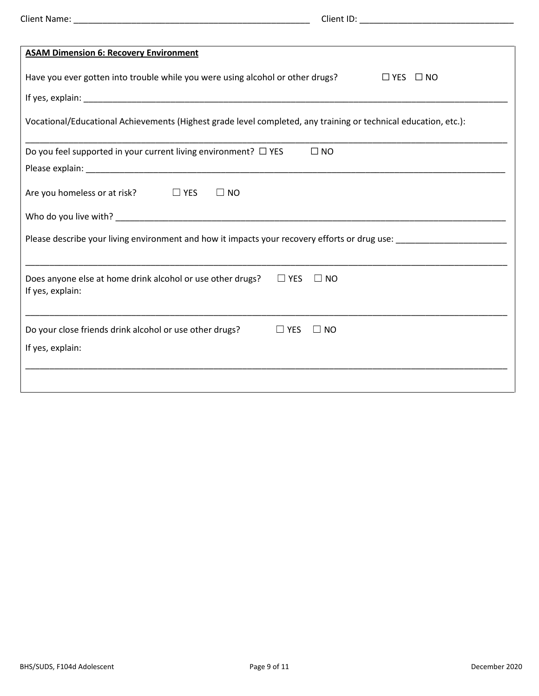|                                                                                                                 | Client ID: Note and the set of the set of the set of the set of the set of the set of the set of the set of the set of the set of the set of the set of the set of the set of the set of the set of the set of the set of the |
|-----------------------------------------------------------------------------------------------------------------|-------------------------------------------------------------------------------------------------------------------------------------------------------------------------------------------------------------------------------|
|                                                                                                                 |                                                                                                                                                                                                                               |
| <b>ASAM Dimension 6: Recovery Environment</b>                                                                   |                                                                                                                                                                                                                               |
| Have you ever gotten into trouble while you were using alcohol or other drugs?                                  | $\Box$ YES $\Box$ NO                                                                                                                                                                                                          |
|                                                                                                                 |                                                                                                                                                                                                                               |
| Vocational/Educational Achievements (Highest grade level completed, any training or technical education, etc.): |                                                                                                                                                                                                                               |
| Do you feel supported in your current living environment? $\Box$ YES                                            | $\square$ NO                                                                                                                                                                                                                  |
|                                                                                                                 |                                                                                                                                                                                                                               |
| Are you homeless or at risk?<br>D YES<br>$\square$ NO                                                           |                                                                                                                                                                                                                               |
|                                                                                                                 |                                                                                                                                                                                                                               |
|                                                                                                                 |                                                                                                                                                                                                                               |
| Does anyone else at home drink alcohol or use other drugs?<br>If yes, explain:                                  | $\Box$ YES<br>$\Box$ NO                                                                                                                                                                                                       |
| Do your close friends drink alcohol or use other drugs?<br>If yes, explain:                                     | $\Box$ YES<br>$\square$ NO                                                                                                                                                                                                    |
|                                                                                                                 |                                                                                                                                                                                                                               |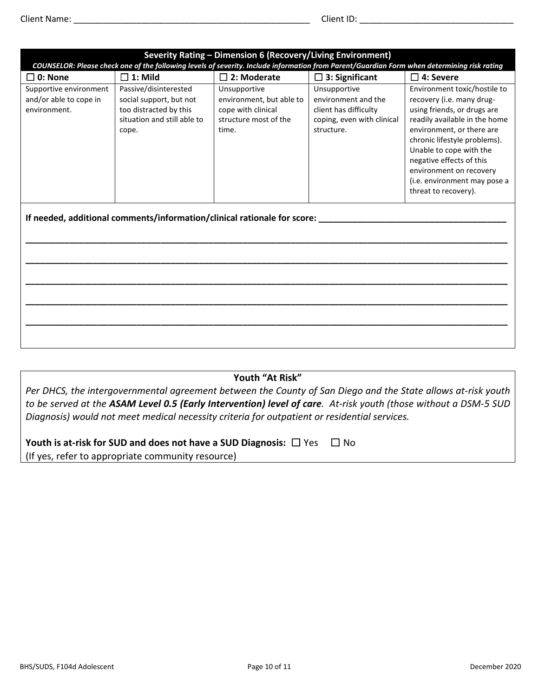| Severity Rating - Dimension 6 (Recovery/Living Environment)<br>COUNSELOR: Please check one of the following levels of severity. Include information from Parent/Guardian Form when determining risk rating |                                                                                                                    |                                                                                                  |                                                                                                          |                                                                                                                                                                                                                                                                                                                                  |
|------------------------------------------------------------------------------------------------------------------------------------------------------------------------------------------------------------|--------------------------------------------------------------------------------------------------------------------|--------------------------------------------------------------------------------------------------|----------------------------------------------------------------------------------------------------------|----------------------------------------------------------------------------------------------------------------------------------------------------------------------------------------------------------------------------------------------------------------------------------------------------------------------------------|
| $\square$ 0: None                                                                                                                                                                                          | $\Box$ 1: Mild                                                                                                     | $\square$ 2: Moderate                                                                            | $\Box$ 3: Significant                                                                                    | $\square$ 4: Severe                                                                                                                                                                                                                                                                                                              |
| Supportive environment<br>and/or able to cope in<br>environment.                                                                                                                                           | Passive/disinterested<br>social support, but not<br>too distracted by this<br>situation and still able to<br>cope. | Unsupportive<br>environment, but able to<br>cope with clinical<br>structure most of the<br>time. | Unsupportive<br>environment and the<br>client has difficulty<br>coping, even with clinical<br>structure. | Environment toxic/hostile to<br>recovery (i.e. many drug-<br>using friends, or drugs are<br>readily available in the home<br>environment, or there are<br>chronic lifestyle problems).<br>Unable to cope with the<br>negative effects of this<br>environment on recovery<br>(i.e. environment may pose a<br>threat to recovery). |
|                                                                                                                                                                                                            | If needed, additional comments/information/clinical rationale for score:                                           |                                                                                                  |                                                                                                          |                                                                                                                                                                                                                                                                                                                                  |

**Youth "At Risk"** 

*Per DHCS, the intergovernmental agreement between the County of San Diego and the State allows at-risk youth to be served at the ASAM Level 0.5 (Early Intervention) level of care. At-risk youth (those without a DSM-5 SUD Diagnosis) would not meet medical necessity criteria for outpatient or residential services.*

| Youth is at-risk for SUD and does not have a SUD Diagnosis: $\Box$ Yes | $\Box$ No |
|------------------------------------------------------------------------|-----------|
| (If yes, refer to appropriate community resource)                      |           |